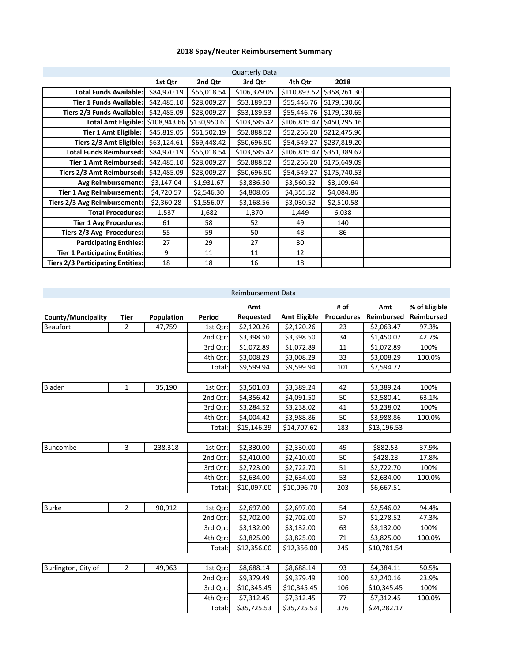## **2018 Spay/Neuter Reimbursement Summary**

|                                          | <b>Quarterly Data</b> |                           |              |              |              |  |  |  |
|------------------------------------------|-----------------------|---------------------------|--------------|--------------|--------------|--|--|--|
|                                          | 1st Qtr               | 2nd Qtr                   | 3rd Qtr      | 4th Qtr      | 2018         |  |  |  |
| <b>Total Funds Available:</b>            | \$84,970.19           | \$56,018.54               | \$106,379.05 | \$110,893.52 | \$358,261.30 |  |  |  |
| <b>Tier 1 Funds Available:</b>           | \$42,485.10           | \$28,009.27               | \$53,189.53  | \$55,446.76  | \$179,130.66 |  |  |  |
| Tiers 2/3 Funds Available:               | \$42,485.09           | \$28,009.27               | \$53,189.53  | \$55,446.76  | \$179,130.65 |  |  |  |
| <b>Total Amt Eligible:</b>               |                       | \$108,943.66 \$130,950.61 | \$103,585.42 | \$106,815.47 | \$450,295.16 |  |  |  |
| <b>Tier 1 Amt Eligible:</b>              | \$45,819.05           | \$61,502.19               | \$52,888.52  | \$52,266.20  | \$212,475.96 |  |  |  |
| Tiers 2/3 Amt Eligible:                  | \$63,124.61           | \$69,448.42               | \$50,696.90  | \$54,549.27  | \$237,819.20 |  |  |  |
| <b>Total Funds Reimbursed:</b>           | \$84,970.19           | \$56,018.54               | \$103,585.42 | \$106,815.47 | \$351,389.62 |  |  |  |
| <b>Tier 1 Amt Reimbursed:</b>            | \$42,485.10           | \$28,009.27               | \$52,888.52  | \$52,266.20  | \$175,649.09 |  |  |  |
| Tiers 2/3 Amt Reimbursed:                | \$42,485.09           | \$28,009.27               | \$50,696.90  | \$54,549.27  | \$175,740.53 |  |  |  |
| <b>Avg Reimbursement:</b>                | \$3,147.04            | \$1,931.67                | \$3,836.50   | \$3,560.52   | \$3,109.64   |  |  |  |
| <b>Tier 1 Avg Reimbursement:</b>         | \$4,720.57            | \$2,546.30                | \$4,808.05   | \$4,355.52   | \$4,084.86   |  |  |  |
| Tiers 2/3 Avg Reimbursement:             | \$2,360.28            | \$1,556.07                | \$3,168.56   | \$3,030.52   | \$2,510.58   |  |  |  |
| <b>Total Procedures:</b>                 | 1,537                 | 1,682                     | 1,370        | 1,449        | 6,038        |  |  |  |
| <b>Tier 1 Avg Procedures:</b>            | 61                    | 58                        | 52           | 49           | 140          |  |  |  |
| Tiers 2/3 Avg Procedures:                | 55                    | 59                        | 50           | 48           | 86           |  |  |  |
| <b>Participating Entities:</b>           | 27                    | 29                        | 27           | 30           |              |  |  |  |
| <b>Tier 1 Participating Entities:</b>    | 9                     | 11                        | 11           | 12           |              |  |  |  |
| <b>Tiers 2/3 Participating Entities:</b> | 18                    | 18                        | 16           | 18           |              |  |  |  |

|                     | <b>Reimbursement Data</b> |            |          |             |                     |                   |             |               |
|---------------------|---------------------------|------------|----------|-------------|---------------------|-------------------|-------------|---------------|
|                     |                           |            |          | Amt         |                     | # of              | Amt         | % of Eligible |
| County/Muncipality  | Tier                      | Population | Period   | Requested   | <b>Amt Eligible</b> | <b>Procedures</b> | Reimbursed  | Reimbursed    |
| <b>Beaufort</b>     | $\overline{2}$            | 47,759     | 1st Qtr: | \$2,120.26  | \$2,120.26          | 23                | \$2,063.47  | 97.3%         |
|                     |                           |            | 2nd Qtr: | \$3,398.50  | \$3,398.50          | 34                | \$1,450.07  | 42.7%         |
|                     |                           |            | 3rd Qtr: | \$1,072.89  | \$1,072.89          | 11                | \$1,072.89  | 100%          |
|                     |                           |            | 4th Qtr: | \$3,008.29  | \$3,008.29          | 33                | \$3,008.29  | 100.0%        |
|                     |                           |            | Total:   | \$9,599.94  | \$9,599.94          | 101               | \$7,594.72  |               |
|                     |                           |            |          |             |                     |                   |             |               |
| Bladen              | $\mathbf{1}$              | 35,190     | 1st Qtr: | \$3,501.03  | \$3,389.24          | 42                | \$3,389.24  | 100%          |
|                     |                           |            | 2nd Qtr: | \$4,356.42  | \$4,091.50          | 50                | \$2,580.41  | 63.1%         |
|                     |                           |            | 3rd Qtr: | \$3,284.52  | \$3,238.02          | 41                | \$3,238.02  | 100%          |
|                     |                           |            | 4th Qtr: | \$4,004.42  | \$3,988.86          | 50                | \$3,988.86  | 100.0%        |
|                     |                           |            | Total:   | \$15,146.39 | \$14,707.62         | 183               | \$13,196.53 |               |
|                     |                           |            |          |             |                     |                   |             |               |
| Buncombe            | 3                         | 238,318    | 1st Qtr: | \$2,330.00  | \$2,330.00          | 49                | \$882.53    | 37.9%         |
|                     |                           |            | 2nd Qtr: | \$2,410.00  | \$2,410.00          | 50                | \$428.28    | 17.8%         |
|                     |                           |            | 3rd Qtr: | \$2,723.00  | \$2,722.70          | 51                | \$2,722.70  | 100%          |
|                     |                           |            | 4th Qtr: | \$2,634.00  | \$2,634.00          | 53                | \$2,634.00  | 100.0%        |
|                     |                           |            | Total:   | \$10,097.00 | \$10,096.70         | 203               | \$6,667.51  |               |
|                     |                           |            |          |             |                     |                   |             |               |
| <b>Burke</b>        | 2                         | 90,912     | 1st Qtr: | \$2,697.00  | \$2,697.00          | 54                | \$2,546.02  | 94.4%         |
|                     |                           |            | 2nd Qtr: | \$2,702.00  | \$2,702.00          | 57                | \$1,278.52  | 47.3%         |
|                     |                           |            | 3rd Qtr: | \$3,132.00  | \$3,132.00          | 63                | \$3,132.00  | 100%          |
|                     |                           |            | 4th Qtr: | \$3,825.00  | \$3,825.00          | 71                | \$3,825.00  | 100.0%        |
|                     |                           |            | Total:   | \$12,356.00 | \$12,356.00         | 245               | \$10,781.54 |               |
|                     |                           |            |          |             |                     |                   |             |               |
| Burlington, City of | $\overline{2}$            | 49,963     | 1st Qtr: | \$8,688.14  | \$8,688.14          | 93                | \$4,384.11  | 50.5%         |
|                     |                           |            | 2nd Qtr: | \$9,379.49  | \$9,379.49          | 100               | \$2,240.16  | 23.9%         |
|                     |                           |            | 3rd Qtr: | \$10,345.45 | \$10,345.45         | 106               | \$10,345.45 | 100%          |
|                     |                           |            | 4th Qtr: | \$7,312.45  | \$7,312.45          | 77                | \$7,312.45  | 100.0%        |
|                     |                           |            | Total:   | \$35,725.53 | \$35,725.53         | 376               | \$24,282.17 |               |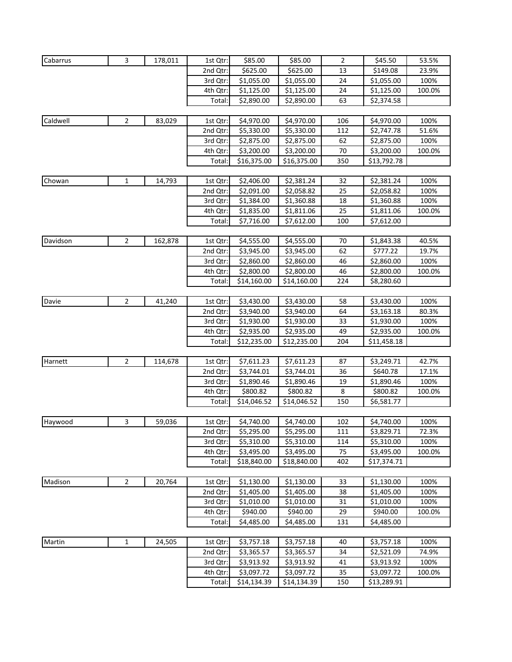| Cabarrus | 3              | 178,011 | 1st Qtr: | \$85.00     | \$85.00                | $\overline{2}$ | \$45.50     | 53.5%  |
|----------|----------------|---------|----------|-------------|------------------------|----------------|-------------|--------|
|          |                |         | 2nd Qtr: | \$625.00    | \$625.00               | 13             | \$149.08    | 23.9%  |
|          |                |         | 3rd Qtr: | \$1,055.00  | \$1,055.00             | 24             | \$1,055.00  | 100%   |
|          |                |         | 4th Qtr: | \$1,125.00  | \$1,125.00             | 24             | \$1,125.00  | 100.0% |
|          |                |         | Total:   | \$2,890.00  | \$2,890.00             | 63             | \$2,374.58  |        |
|          |                |         |          |             |                        |                |             |        |
| Caldwell | $\overline{2}$ | 83,029  | 1st Qtr: | \$4,970.00  | \$4,970.00             | 106            | \$4,970.00  | 100%   |
|          |                |         | 2nd Qtr: | \$5,330.00  | \$5,330.00             | 112            | \$2,747.78  | 51.6%  |
|          |                |         | 3rd Qtr: | \$2,875.00  | \$2,875.00             | 62             | \$2,875.00  | 100%   |
|          |                |         | 4th Qtr: | \$3,200.00  | \$3,200.00             | 70             | \$3,200.00  | 100.0% |
|          |                |         | Total:   | \$16,375.00 | \$16,375.00            | 350            | \$13,792.78 |        |
|          |                |         |          |             |                        |                |             |        |
| Chowan   | $\mathbf{1}$   | 14,793  | 1st Qtr: | \$2,406.00  | \$2,381.24             | 32             | \$2,381.24  | 100%   |
|          |                |         | 2nd Qtr: | \$2,091.00  | \$2,058.82             | 25             | \$2,058.82  | 100%   |
|          |                |         | 3rd Qtr: | \$1,384.00  | \$1,360.88             | 18             | \$1,360.88  | 100%   |
|          |                |         | 4th Qtr: | \$1,835.00  | \$1,811.06             | 25             | \$1,811.06  | 100.0% |
|          |                |         | Total:   | \$7,716.00  | \$7,612.00             | 100            | \$7,612.00  |        |
|          |                |         |          |             |                        |                |             |        |
| Davidson | $\overline{2}$ | 162,878 | 1st Qtr: | \$4,555.00  | $\overline{$}4,555.00$ | 70             | \$1,843.38  | 40.5%  |
|          |                |         | 2nd Qtr: | \$3,945.00  | \$3,945.00             | 62             | \$777.22    | 19.7%  |
|          |                |         | 3rd Qtr: | \$2,860.00  | \$2,860.00             | 46             | \$2,860.00  | 100%   |
|          |                |         | 4th Qtr: | \$2,800.00  | \$2,800.00             | 46             | \$2,800.00  | 100.0% |
|          |                |         | Total:   | \$14,160.00 | \$14,160.00            | 224            | \$8,280.60  |        |
|          |                |         |          |             |                        |                |             |        |
| Davie    | $\overline{2}$ | 41,240  | 1st Qtr: | \$3,430.00  | \$3,430.00             | 58             | \$3,430.00  | 100%   |
|          |                |         | 2nd Qtr: | \$3,940.00  | \$3,940.00             | 64             | \$3,163.18  | 80.3%  |
|          |                |         | 3rd Qtr: | \$1,930.00  | \$1,930.00             | 33             | \$1,930.00  | 100%   |
|          |                |         | 4th Qtr: | \$2,935.00  | \$2,935.00             | 49             | \$2,935.00  | 100.0% |
|          |                |         | Total:   | \$12,235.00 | \$12,235.00            | 204            | \$11,458.18 |        |
|          |                |         |          |             |                        |                |             |        |
| Harnett  | $\overline{2}$ | 114,678 | 1st Qtr: | \$7,611.23  | \$7,611.23             | 87             | \$3,249.71  | 42.7%  |
|          |                |         | 2nd Qtr: | \$3,744.01  | \$3,744.01             | 36             | \$640.78    | 17.1%  |
|          |                |         | 3rd Qtr: | \$1,890.46  | \$1,890.46             | 19             | \$1,890.46  | 100%   |
|          |                |         | 4th Qtr: | \$800.82    | \$800.82               | 8              | \$800.82    | 100.0% |
|          |                |         | Total:   | \$14,046.52 | \$14,046.52            | 150            | \$6,581.77  |        |
|          |                |         |          |             |                        |                |             |        |
| Haywood  | 3              | 59,036  | 1st Qtr: | \$4,740.00  | \$4,740.00             | 102            | \$4,740.00  | 100%   |
|          |                |         | 2nd Qtr: | \$5,295.00  | \$5,295.00             | 111            | \$3,829.71  | 72.3%  |
|          |                |         | 3rd Qtr: | \$5,310.00  | \$5,310.00             | 114            | \$5,310.00  | 100%   |
|          |                |         | 4th Qtr: | \$3,495.00  | \$3,495.00             | 75             | \$3,495.00  | 100.0% |
|          |                |         | Total:   | \$18,840.00 | \$18,840.00            | 402            | \$17,374.71 |        |
|          |                |         |          |             |                        |                |             |        |
| Madison  | $\overline{2}$ | 20,764  | 1st Qtr: | \$1,130.00  | \$1,130.00             | 33             | \$1,130.00  | 100%   |
|          |                |         | 2nd Qtr: | \$1,405.00  | \$1,405.00             | 38             | \$1,405.00  | 100%   |
|          |                |         | 3rd Qtr: | \$1,010.00  | \$1,010.00             | 31             | \$1,010.00  | 100%   |
|          |                |         | 4th Qtr: | \$940.00    | \$940.00               | 29             | \$940.00    | 100.0% |
|          |                |         | Total:   | \$4,485.00  | \$4,485.00             | 131            | \$4,485.00  |        |
|          |                |         |          |             |                        |                |             |        |
| Martin   | $\mathbf 1$    | 24,505  | 1st Qtr: | \$3,757.18  | \$3,757.18             | 40             | \$3,757.18  | 100%   |
|          |                |         | 2nd Qtr: | \$3,365.57  | \$3,365.57             | 34             | \$2,521.09  | 74.9%  |
|          |                |         | 3rd Qtr: | \$3,913.92  | \$3,913.92             | 41             | \$3,913.92  | 100%   |
|          |                |         | 4th Qtr: | \$3,097.72  | \$3,097.72             | 35             | \$3,097.72  | 100.0% |
|          |                |         | Total:   | \$14,134.39 | \$14,134.39            | 150            | \$13,289.91 |        |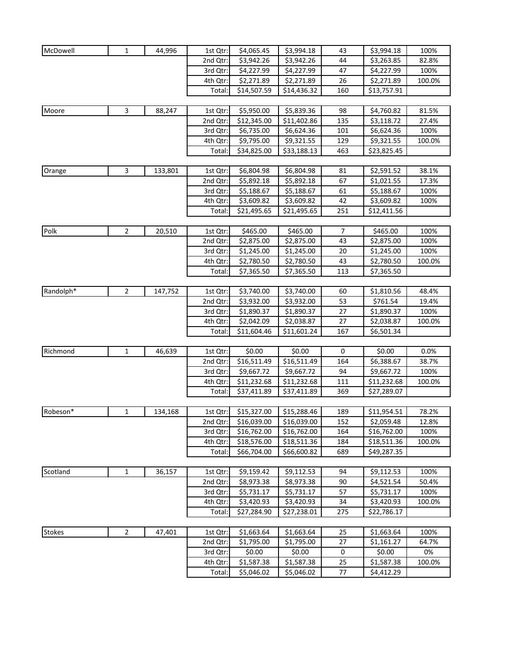| McDowell      | 1            | 44,996  | 1st Qtr: | \$4,065.45  | \$3,994.18  | 43  | \$3,994.18  | 100%   |
|---------------|--------------|---------|----------|-------------|-------------|-----|-------------|--------|
|               |              |         | 2nd Qtr: | \$3,942.26  | \$3,942.26  | 44  | \$3,263.85  | 82.8%  |
|               |              |         | 3rd Qtr: | \$4,227.99  | \$4,227.99  | 47  | \$4,227.99  | 100%   |
|               |              |         | 4th Qtr: | \$2,271.89  | \$2,271.89  | 26  | \$2,271.89  | 100.0% |
|               |              |         | Total:   | \$14,507.59 | \$14,436.32 | 160 | \$13,757.91 |        |
|               |              |         |          |             |             |     |             |        |
| Moore         | 3            | 88,247  | 1st Qtr: | \$5,950.00  | \$5,839.36  | 98  | \$4,760.82  | 81.5%  |
|               |              |         | 2nd Qtr: | \$12,345.00 | \$11,402.86 | 135 | \$3,118.72  | 27.4%  |
|               |              |         | 3rd Qtr: | \$6,735.00  | \$6,624.36  | 101 | \$6,624.36  | 100%   |
|               |              |         | 4th Qtr: | \$9,795.00  | \$9,321.55  | 129 | \$9,321.55  | 100.0% |
|               |              |         | Total:   | \$34,825.00 | \$33,188.13 | 463 | \$23,825.45 |        |
|               |              |         |          |             |             |     |             |        |
| Orange        | 3            | 133,801 | 1st Qtr: | \$6,804.98  | \$6,804.98  | 81  | \$2,591.52  | 38.1%  |
|               |              |         | 2nd Qtr: | \$5,892.18  | \$5,892.18  | 67  | \$1,021.55  | 17.3%  |
|               |              |         | 3rd Qtr: | \$5,188.67  | \$5,188.67  | 61  | \$5,188.67  | 100%   |
|               |              |         |          |             |             | 42  |             |        |
|               |              |         | 4th Qtr: | \$3,609.82  | \$3,609.82  |     | \$3,609.82  | 100%   |
|               |              |         | Total:   | \$21,495.65 | \$21,495.65 | 251 | \$12,411.56 |        |
| Polk          | 2            | 20,510  | 1st Qtr: | \$465.00    | \$465.00    | 7   | \$465.00    | 100%   |
|               |              |         | 2nd Qtr: | \$2,875.00  | \$2,875.00  | 43  | \$2,875.00  | 100%   |
|               |              |         | 3rd Qtr: | \$1,245.00  | \$1,245.00  | 20  | \$1,245.00  | 100%   |
|               |              |         | 4th Qtr: | \$2,780.50  | \$2,780.50  | 43  | \$2,780.50  | 100.0% |
|               |              |         | Total:   | \$7,365.50  | \$7,365.50  | 113 | \$7,365.50  |        |
|               |              |         |          |             |             |     |             |        |
| Randolph*     | 2            | 147,752 | 1st Qtr: | \$3,740.00  | \$3,740.00  | 60  | \$1,810.56  | 48.4%  |
|               |              |         | 2nd Qtr: | \$3,932.00  | \$3,932.00  | 53  | \$761.54    | 19.4%  |
|               |              |         | 3rd Qtr: | \$1,890.37  | \$1,890.37  | 27  | \$1,890.37  | 100%   |
|               |              |         | 4th Qtr: | \$2,042.09  | \$2,038.87  | 27  | \$2,038.87  | 100.0% |
|               |              |         | Total:   | \$11,604.46 | \$11,601.24 | 167 | \$6,501.34  |        |
|               |              |         |          |             |             |     |             |        |
| Richmond      | $\mathbf{1}$ | 46,639  | 1st Qtr: | \$0.00      | \$0.00      | 0   | \$0.00      | 0.0%   |
|               |              |         | 2nd Qtr: | \$16,511.49 | \$16,511.49 | 164 | \$6,388.67  | 38.7%  |
|               |              |         | 3rd Qtr: | \$9,667.72  | \$9,667.72  | 94  | \$9,667.72  | 100%   |
|               |              |         | 4th Qtr: | \$11,232.68 | \$11,232.68 | 111 | \$11,232.68 | 100.0% |
|               |              |         | Total:   | \$37,411.89 | \$37,411.89 | 369 | \$27,289.07 |        |
|               |              |         |          |             |             |     |             |        |
| Robeson*      | 1            | 134,168 | 1st Qtr: | \$15,327.00 | \$15,288.46 | 189 | \$11,954.51 | 78.2%  |
|               |              |         | 2nd Qtr: | \$16,039.00 | \$16,039.00 | 152 | \$2,059.48  | 12.8%  |
|               |              |         | 3rd Qtr: | \$16,762.00 | \$16,762.00 | 164 | \$16,762.00 | 100%   |
|               |              |         | 4th Qtr: | \$18,576.00 | \$18,511.36 | 184 | \$18,511.36 | 100.0% |
|               |              |         | Total:   | \$66,704.00 | \$66,600.82 | 689 | \$49,287.35 |        |
|               |              |         |          |             |             |     |             |        |
| Scotland      | 1            | 36,157  | 1st Qtr: | \$9,159.42  | \$9,112.53  | 94  | \$9,112.53  | 100%   |
|               |              |         | 2nd Qtr: | \$8,973.38  | \$8,973.38  | 90  | \$4,521.54  | 50.4%  |
|               |              |         | 3rd Qtr: | \$5,731.17  | \$5,731.17  | 57  | \$5,731.17  | 100%   |
|               |              |         | 4th Qtr: | \$3,420.93  | \$3,420.93  | 34  | \$3,420.93  | 100.0% |
|               |              |         | Total:   | \$27,284.90 | \$27,238.01 | 275 | \$22,786.17 |        |
|               |              |         |          |             |             |     |             |        |
| <b>Stokes</b> | 2            | 47,401  | 1st Qtr: | \$1,663.64  | \$1,663.64  | 25  | \$1,663.64  | 100%   |
|               |              |         | 2nd Qtr: | \$1,795.00  | \$1,795.00  | 27  | \$1,161.27  | 64.7%  |
|               |              |         | 3rd Qtr: | \$0.00      | \$0.00      | 0   | \$0.00      | 0%     |
|               |              |         | 4th Qtr: | \$1,587.38  | \$1,587.38  | 25  | \$1,587.38  | 100.0% |
|               |              |         | Total:   | \$5,046.02  | \$5,046.02  | 77  | \$4,412.29  |        |